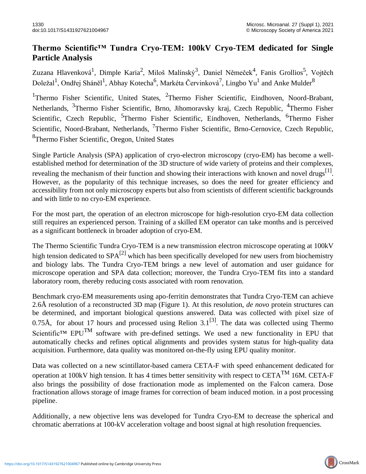## **Thermo Scientific™ Tundra Cryo-TEM: 100kV Cryo-TEM dedicated for Single Particle Analysis**

Zuzana Hlavenková<sup>1</sup>, Dimple Karia<sup>2</sup>, Miloš Malínský<sup>3</sup>, Daniel Němeček<sup>4</sup>, Fanis Grollios<sup>5</sup>, Vojtěch Doležal<sup>1</sup>, Ondřej Sháněl<sup>1</sup>, Abhay Kotecha<sup>6</sup>, Markéta Červinková<sup>7</sup>, Lingbo Yu<sup>1</sup> and Anke Mulder<sup>8</sup>

<sup>1</sup>Thermo Fisher Scientific, United States, <sup>2</sup>Thermo Fisher Scientific, Eindhoven, Noord-Brabant, Netherlands, <sup>3</sup>Thermo Fisher Scientific, Brno, Jihomoravsky kraj, Czech Republic, <sup>4</sup>Thermo Fisher Scientific, Czech Republic, <sup>5</sup>Thermo Fisher Scientific, Eindhoven, Netherlands, <sup>6</sup>Thermo Fisher Scientific, Noord-Brabant, Netherlands, <sup>7</sup>Thermo Fisher Scientific, Brno-Cernovice, Czech Republic, <sup>8</sup>Thermo Fisher Scientific, Oregon, United States

Single Particle Analysis (SPA) application of cryo-electron microscopy (cryo-EM) has become a wellestablished method for determination of the 3D structure of wide variety of proteins and their complexes, revealing the mechanism of their function and showing their interactions with known and novel drugs<sup>[1]</sup>. However, as the popularity of this technique increases, so does the need for greater efficiency and accessibility from not only microscopy experts but also from scientists of different scientific backgrounds and with little to no cryo-EM experience.

For the most part, the operation of an electron microscope for high-resolution cryo-EM data collection still requires an experienced person. Training of a skilled EM operator can take months and is perceived as a significant bottleneck in broader adoption of cryo-EM.

The Thermo Scientific Tundra Cryo-TEM is a new transmission electron microscope operating at 100kV high tension dedicated to  $SPA^{[2]}$  which has been specifically developed for new users from biochemistry and biology labs. The Tundra Cryo-TEM brings a new level of automation and user guidance for microscope operation and SPA data collection; moreover, the Tundra Cryo-TEM fits into a standard laboratory room, thereby reducing costs associated with room renovation.

Benchmark cryo-EM measurements using apo-ferritin demonstrates that Tundra Cryo-TEM can achieve 2.6Å resolution of a reconstructed 3D map (Figure 1). At this resolution, *de novo* protein structures can be determined, and important biological questions answered. Data was collected with pixel size of 0.75Å, for about 17 hours and processed using Relion  $3.1^{[3]}$ . The data was collected using Thermo Scientific™ EPU<sup>TM</sup> software with pre-defined settings. We used a new functionality in EPU that automatically checks and refines optical alignments and provides system status for high-quality data acquisition. Furthermore, data quality was monitored on-the-fly using EPU quality monitor.

Data was collected on a new scintillator-based camera CETA-F with speed enhancement dedicated for operation at 100kV high tension. It has 4 times better sensitivity with respect to CETA<sup>TM</sup> 16M. CETA-F also brings the possibility of dose fractionation mode as implemented on the Falcon camera. Dose fractionation allows storage of image frames for correction of beam induced motion. in a post processing pipeline.

Additionally, a new objective lens was developed for Tundra Cryo-EM to decrease the spherical and chromatic aberrations at 100-kV acceleration voltage and boost signal at high resolution frequencies.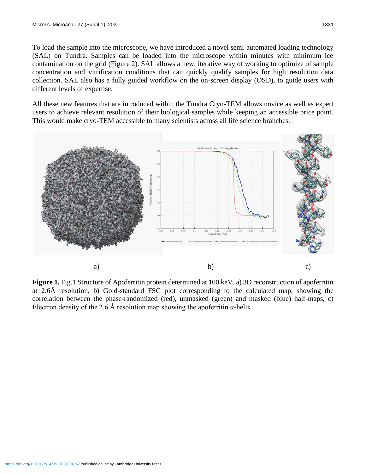To load the sample into the microscope, we have introduced a novel semi-automated loading technology (SAL) on Tundra. Samples can be loaded into the microscope within minutes with minimum ice contamination on the grid (Figure 2). SAL allows a new, iterative way of working to optimize of sample concentration and vitrification conditions that can quickly qualify samples for high resolution data collection. SAL also has a fully guided workflow on the on-screen display (OSD), to guide users with different levels of expertise.

All these new features that are introduced within the Tundra Cryo-TEM allows novice as well as expert users to achieve relevant resolution of their biological samples while keeping an accessible price point. This would make cryo-TEM accessible to many scientists across all life science branches.



**Figure 1.** Fig.1 Structure of Apoferritin protein determined at 100 keV. a) 3D reconstruction of apoferritin at 2.6Å resolution, b) Gold-standard FSC plot corresponding to the calculated map, showing the correlation between the phase-randomized (red), unmasked (green) and masked (blue) half-maps, c) Electron density of the 2.6 Å resolution map showing the apoferritin  $\alpha$ -helix